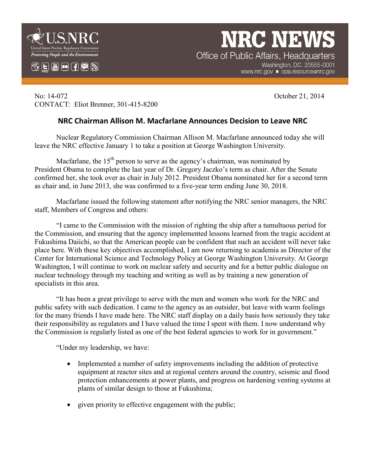

 $\mathbb{C}$   $\mathbb{E}$   $\mathbb{H}$   $\mathbf{\Theta}$   $\mathbb{H}$   $\mathbb{Z}$   $\mathbb{N}$ 

**NRC NEW** Office of Public Affairs, Headquarters

Washington, DC. 20555-0001 www.nrc.gov ■ opa.resource@nrc.gov

No: 14-072 October 21, 2014 CONTACT: Eliot Brenner, 301-415-8200

## **NRC Chairman Allison M. Macfarlane Announces Decision to Leave NRC**

Nuclear Regulatory Commission Chairman Allison M. Macfarlane announced today she will leave the NRC effective January 1 to take a position at George Washington University.

Macfarlane, the  $15<sup>th</sup>$  person to serve as the agency's chairman, was nominated by President Obama to complete the last year of Dr. Gregory Jaczko's term as chair. After the Senate confirmed her, she took over as chair in July 2012. President Obama nominated her for a second term as chair and, in June 2013, she was confirmed to a five-year term ending June 30, 2018.

Macfarlane issued the following statement after notifying the NRC senior managers, the NRC staff, Members of Congress and others:

"I came to the Commission with the mission of righting the ship after a tumultuous period for the Commission, and ensuring that the agency implemented lessons learned from the tragic accident at Fukushima Daiichi, so that the American people can be confident that such an accident will never take place here. With these key objectives accomplished, I am now returning to academia as Director of the Center for International Science and Technology Policy at George Washington University. At George Washington, I will continue to work on nuclear safety and security and for a better public dialogue on nuclear technology through my teaching and writing as well as by training a new generation of specialists in this area.

"It has been a great privilege to serve with the men and women who work for the NRC and public safety with such dedication. I came to the agency as an outsider, but leave with warm feelings for the many friends I have made here. The NRC staff display on a daily basis how seriously they take their responsibility as regulators and I have valued the time I spent with them. I now understand why the Commission is regularly listed as one of the best federal agencies to work for in government."

"Under my leadership, we have:

- Implemented a number of safety improvements including the addition of protective equipment at reactor sites and at regional centers around the country, seismic and flood protection enhancements at power plants, and progress on hardening venting systems at plants of similar design to those at Fukushima;
- given priority to effective engagement with the public;